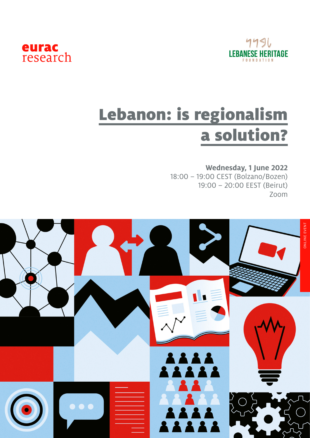



## Lebanon: is regionalism a solution?

## **Wednesday, 1 June 2022**

18:00 – 19:00 CEST (Bolzano/Bozen) 19:00 – 20:00 EEST (Beirut) Zoom